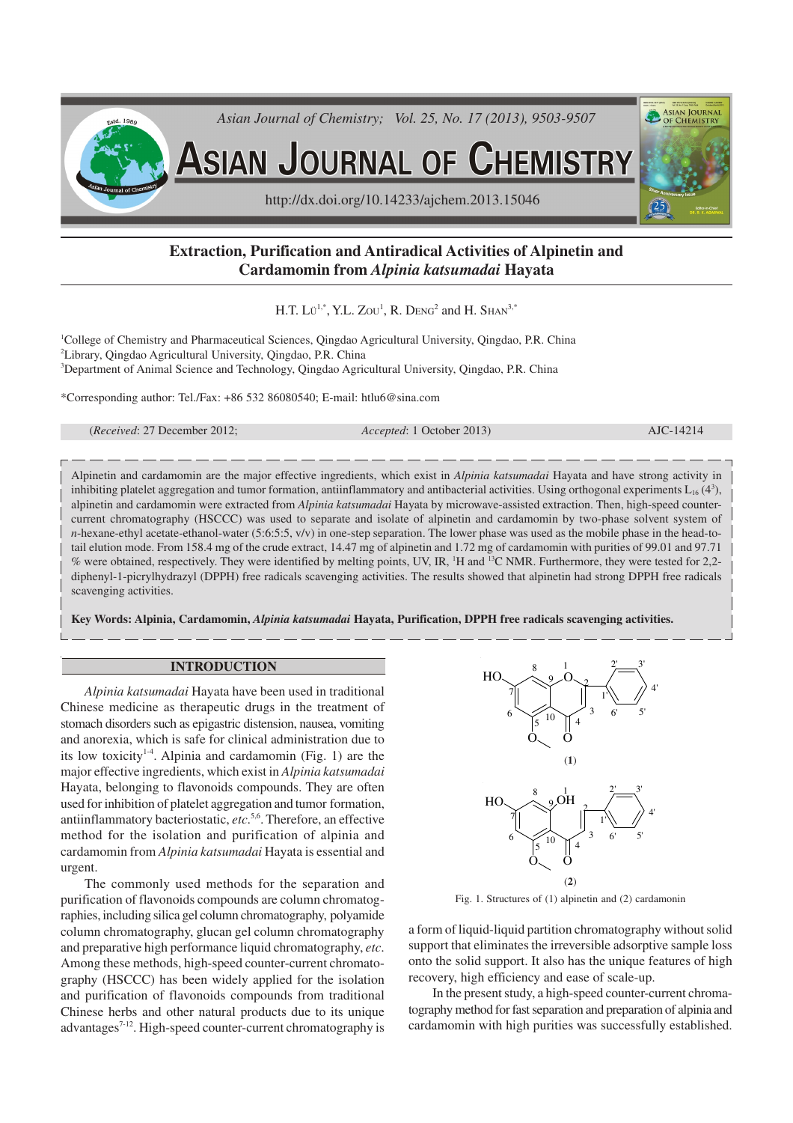

# **Extraction, Purification and Antiradical Activities of Alpinetin and Cardamomin from** *Alpinia katsumadai* **Hayata**

H.T. Lü<sup>1,\*</sup>, Y.L. Zou<sup>1</sup>, R. Deng<sup>2</sup> and H. Shan<sup>3,\*</sup>

<sup>1</sup>College of Chemistry and Pharmaceutical Sciences, Qingdao Agricultural University, Qingdao, P.R. China <sup>2</sup>Library, Qingdao Agricultural University, Qingdao, P.R. China <sup>3</sup>Department of Animal Science and Technology, Qingdao Agricultural University, Qingdao, P.R. China

\*Corresponding author: Tel./Fax: +86 532 86080540; E-mail: htlu6@sina.com

(*Received*: 27 December 2012; *Accepted*: 1 October 2013) AJC-14214

Alpinetin and cardamomin are the major effective ingredients, which exist in *Alpinia katsumadai* Hayata and have strong activity in inhibiting platelet aggregation and tumor formation, antiinflammatory and antibacterial activities. Using orthogonal experiments  $L_{16}$  (4<sup>3</sup>), alpinetin and cardamomin were extracted from *Alpinia katsumadai* Hayata by microwave-assisted extraction. Then, high-speed countercurrent chromatography (HSCCC) was used to separate and isolate of alpinetin and cardamomin by two-phase solvent system of *n*-hexane-ethyl acetate-ethanol-water (5:6:5:5,  $v/v$ ) in one-step separation. The lower phase was used as the mobile phase in the head-totail elution mode. From 158.4 mg of the crude extract, 14.47 mg of alpinetin and 1.72 mg of cardamomin with purities of 99.01 and 97.71 % were obtained, respectively. They were identified by melting points, UV, IR, <sup>1</sup>H and <sup>13</sup>C NMR. Furthermore, they were tested for 2,2diphenyl-1-picrylhydrazyl (DPPH) free radicals scavenging activities. The results showed that alpinetin had strong DPPH free radicals scavenging activities.

**Key Words: Alpinia, Cardamomin,** *Alpinia katsumadai* **Hayata, Purification, DPPH free radicals scavenging activities.**

### **INTRODUCTION**

*Alpinia katsumadai* Hayata have been used in traditional Chinese medicine as therapeutic drugs in the treatment of stomach disorders such as epigastric distension, nausea, vomiting and anorexia, which is safe for clinical administration due to its low toxicity<sup>14</sup>. Alpinia and cardamomin (Fig. 1) are the major effective ingredients, which exist in *Alpinia katsumadai* Hayata, belonging to flavonoids compounds. They are often used for inhibition of platelet aggregation and tumor formation, antiinflammatory bacteriostatic, *etc*. 5,6 . Therefore, an effective method for the isolation and purification of alpinia and cardamomin from *Alpinia katsumadai* Hayata is essential and urgent.

The commonly used methods for the separation and purification of flavonoids compounds are column chromatographies, including silica gel column chromatography, polyamide column chromatography, glucan gel column chromatography and preparative high performance liquid chromatography, *etc*. Among these methods, high-speed counter-current chromatography (HSCCC) has been widely applied for the isolation and purification of flavonoids compounds from traditional Chinese herbs and other natural products due to its unique advantages<sup>7-12</sup>. High-speed counter-current chromatography is



Fig. 1. Structures of (1) alpinetin and (2) cardamonin

a form of liquid-liquid partition chromatography without solid support that eliminates the irreversible adsorptive sample loss onto the solid support. It also has the unique features of high recovery, high efficiency and ease of scale-up.

In the present study, a high-speed counter-current chromatography method for fast separation and preparation of alpinia and cardamomin with high purities was successfully established.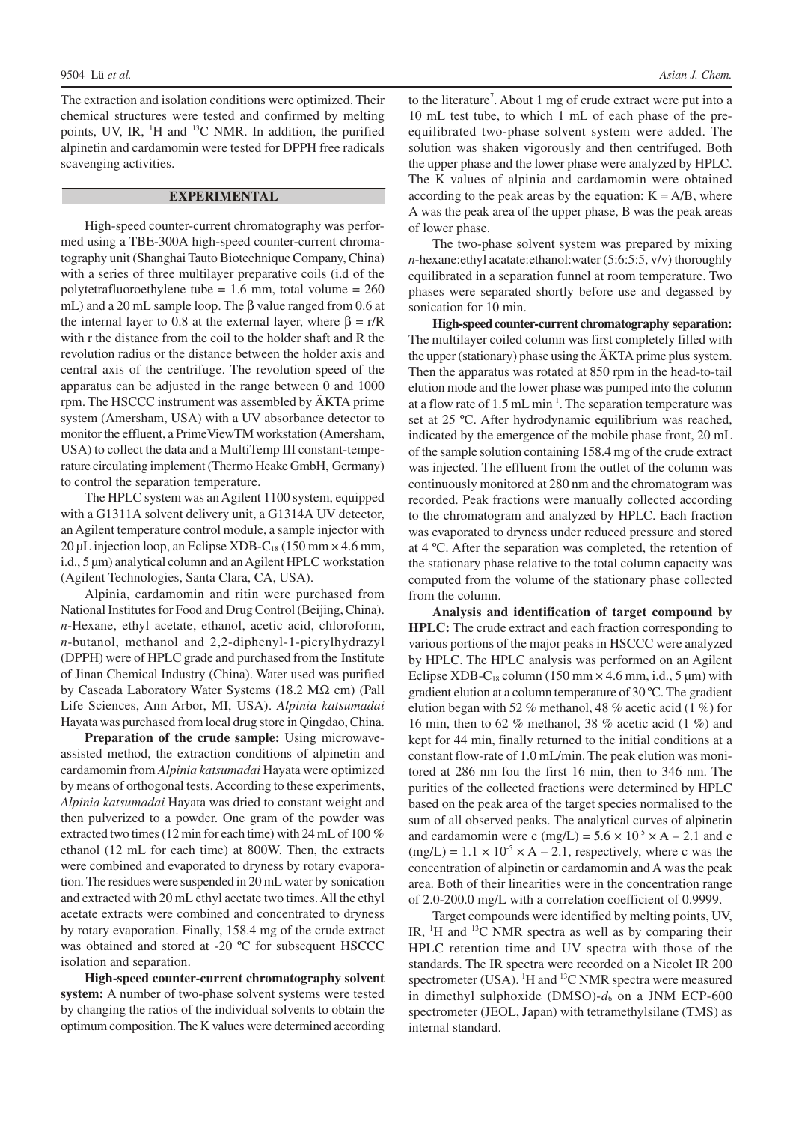The extraction and isolation conditions were optimized. Their chemical structures were tested and confirmed by melting points, UV, IR, <sup>1</sup>H and <sup>13</sup>C NMR. In addition, the purified alpinetin and cardamomin were tested for DPPH free radicals scavenging activities.

## **EXPERIMENTAL**

High-speed counter-current chromatography was performed using a TBE-300A high-speed counter-current chromatography unit (Shanghai Tauto Biotechnique Company, China) with a series of three multilayer preparative coils (i.d of the polytetrafluoroethylene tube =  $1.6$  mm, total volume =  $260$ mL) and a 20 mL sample loop. The β value ranged from 0.6 at the internal layer to 0.8 at the external layer, where  $\beta = r/R$ with r the distance from the coil to the holder shaft and R the revolution radius or the distance between the holder axis and central axis of the centrifuge. The revolution speed of the apparatus can be adjusted in the range between 0 and 1000 rpm. The HSCCC instrument was assembled by ÄKTA prime system (Amersham, USA) with a UV absorbance detector to monitor the effluent, a PrimeViewTM workstation (Amersham, USA) to collect the data and a MultiTemp III constant-temperature circulating implement (Thermo Heake GmbH, Germany) to control the separation temperature.

The HPLC system was an Agilent 1100 system, equipped with a G1311A solvent delivery unit, a G1314A UV detector, an Agilent temperature control module, a sample injector with 20 µL injection loop, an Eclipse XDB-C<sub>18</sub> (150 mm × 4.6 mm, i.d., 5 µm) analytical column and an Agilent HPLC workstation (Agilent Technologies, Santa Clara, CA, USA).

Alpinia, cardamomin and ritin were purchased from National Institutes for Food and Drug Control (Beijing, China). *n*-Hexane, ethyl acetate, ethanol, acetic acid, chloroform, *n*-butanol, methanol and 2,2-diphenyl-1-picrylhydrazyl (DPPH) were of HPLC grade and purchased from the Institute of Jinan Chemical Industry (China). Water used was purified by Cascada Laboratory Water Systems (18.2 MΩ cm) (Pall Life Sciences, Ann Arbor, MI, USA). *Alpinia katsumadai* Hayata was purchased from local drug store in Qingdao, China.

**Preparation of the crude sample:** Using microwaveassisted method, the extraction conditions of alpinetin and cardamomin from *Alpinia katsumadai* Hayata were optimized by means of orthogonal tests. According to these experiments, *Alpinia katsumadai* Hayata was dried to constant weight and then pulverized to a powder. One gram of the powder was extracted two times (12 min for each time) with 24 mL of 100 % ethanol (12 mL for each time) at 800W. Then, the extracts were combined and evaporated to dryness by rotary evaporation. The residues were suspended in 20 mL water by sonication and extracted with 20 mL ethyl acetate two times. All the ethyl acetate extracts were combined and concentrated to dryness by rotary evaporation. Finally, 158.4 mg of the crude extract was obtained and stored at -20 ºC for subsequent HSCCC isolation and separation.

**High-speed counter-current chromatography solvent system:** A number of two-phase solvent systems were tested by changing the ratios of the individual solvents to obtain the optimum composition. The K values were determined according

to the literature 7 . About 1 mg of crude extract were put into a 10 mL test tube, to which 1 mL of each phase of the preequilibrated two-phase solvent system were added. The solution was shaken vigorously and then centrifuged. Both the upper phase and the lower phase were analyzed by HPLC. The K values of alpinia and cardamomin were obtained according to the peak areas by the equation:  $K = A/B$ , where A was the peak area of the upper phase, B was the peak areas of lower phase.

The two-phase solvent system was prepared by mixing *n*-hexane:ethyl acatate:ethanol:water (5:6:5:5, v/v) thoroughly equilibrated in a separation funnel at room temperature. Two phases were separated shortly before use and degassed by sonication for 10 min.

**High-speed counter-current chromatography separation:** The multilayer coiled column was first completely filled with the upper (stationary) phase using the ÄKTA prime plus system. Then the apparatus was rotated at 850 rpm in the head-to-tail elution mode and the lower phase was pumped into the column at a flow rate of 1.5 mL min<sup>-1</sup>. The separation temperature was set at 25 ºC. After hydrodynamic equilibrium was reached, indicated by the emergence of the mobile phase front, 20 mL of the sample solution containing 158.4 mg of the crude extract was injected. The effluent from the outlet of the column was continuously monitored at 280 nm and the chromatogram was recorded. Peak fractions were manually collected according to the chromatogram and analyzed by HPLC. Each fraction was evaporated to dryness under reduced pressure and stored at 4 ºC. After the separation was completed, the retention of the stationary phase relative to the total column capacity was computed from the volume of the stationary phase collected from the column.

**Analysis and identification of target compound by HPLC:** The crude extract and each fraction corresponding to various portions of the major peaks in HSCCC were analyzed by HPLC. The HPLC analysis was performed on an Agilent Eclipse XDB-C<sub>18</sub> column (150 mm  $\times$  4.6 mm, i.d., 5 µm) with gradient elution at a column temperature of 30 ºC. The gradient elution began with 52 % methanol, 48 % acetic acid (1 %) for 16 min, then to 62 % methanol, 38 % acetic acid (1 %) and kept for 44 min, finally returned to the initial conditions at a constant flow-rate of 1.0 mL/min. The peak elution was monitored at 286 nm fou the first 16 min, then to 346 nm. The purities of the collected fractions were determined by HPLC based on the peak area of the target species normalised to the sum of all observed peaks. The analytical curves of alpinetin and cardamomin were c (mg/L) =  $5.6 \times 10^{-5} \times A - 2.1$  and c  $(mg/L) = 1.1 \times 10^{-5} \times A - 2.1$ , respectively, where c was the concentration of alpinetin or cardamomin and A was the peak area. Both of their linearities were in the concentration range of 2.0-200.0 mg/L with a correlation coefficient of 0.9999.

Target compounds were identified by melting points, UV, IR,  ${}^{1}H$  and  ${}^{13}C$  NMR spectra as well as by comparing their HPLC retention time and UV spectra with those of the standards. The IR spectra were recorded on a Nicolet IR 200 spectrometer (USA). <sup>1</sup>H and <sup>13</sup>C NMR spectra were measured in dimethyl sulphoxide (DMSO)-*d*6 on a JNM ECP-600 spectrometer (JEOL, Japan) with tetramethylsilane (TMS) as internal standard.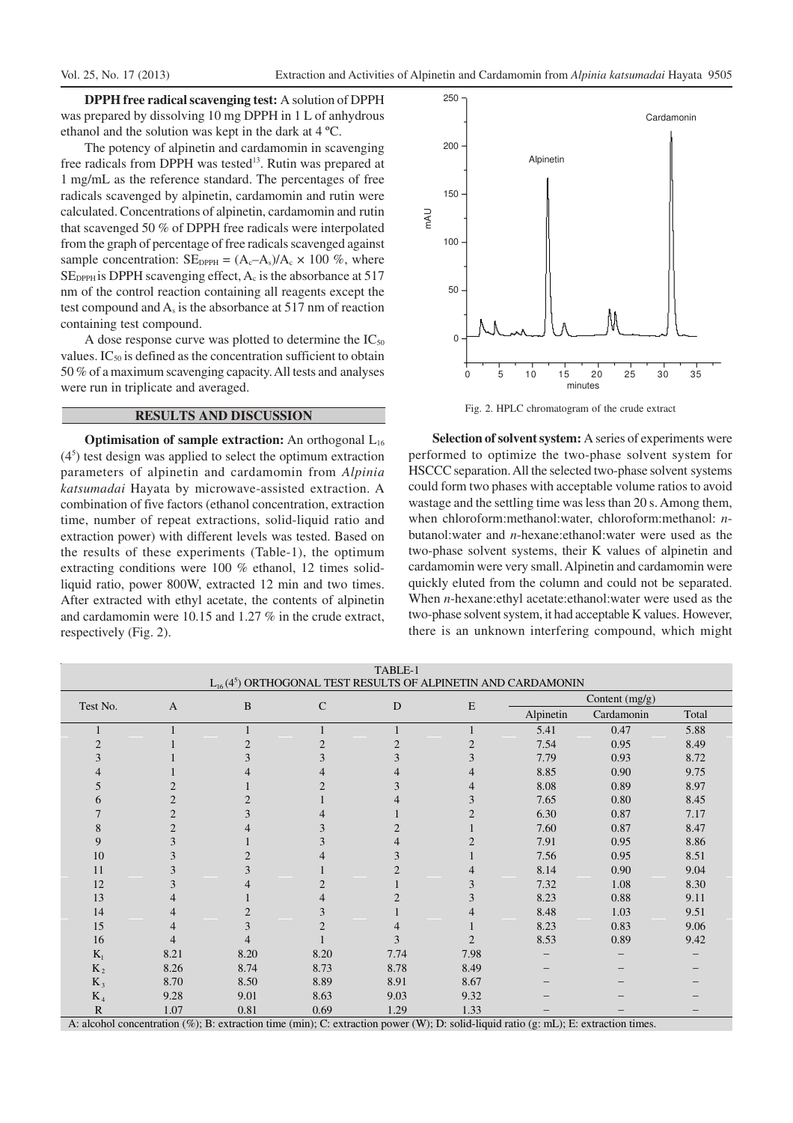**DPPH free radical scavenging test:** A solution of DPPH was prepared by dissolving 10 mg DPPH in 1 L of anhydrous ethanol and the solution was kept in the dark at 4 ºC.

The potency of alpinetin and cardamomin in scavenging free radicals from DPPH was tested<sup>13</sup>. Rutin was prepared at 1 mg/mL as the reference standard. The percentages of free radicals scavenged by alpinetin, cardamomin and rutin were calculated. Concentrations of alpinetin, cardamomin and rutin that scavenged 50 % of DPPH free radicals were interpolated from the graph of percentage of free radicals scavenged against sample concentration:  $SE_{DPPH} = (A_c - A_s)/A_c \times 100\%$ , where  $SE<sub>DPPH</sub>$  is DPPH scavenging effect,  $A<sub>c</sub>$  is the absorbance at 517 nm of the control reaction containing all reagents except the test compound and As is the absorbance at 517 nm of reaction containing test compound.

A dose response curve was plotted to determine the  $IC_{50}$ values.  $IC_{50}$  is defined as the concentration sufficient to obtain 50 % of a maximum scavenging capacity. All tests and analyses were run in triplicate and averaged.

## **RESULTS AND DISCUSSION**

**Optimisation of sample extraction:** An orthogonal L<sub>16</sub> (4<sup>5</sup> ) test design was applied to select the optimum extraction parameters of alpinetin and cardamomin from *Alpinia katsumadai* Hayata by microwave-assisted extraction. A combination of five factors (ethanol concentration, extraction time, number of repeat extractions, solid-liquid ratio and extraction power) with different levels was tested. Based on the results of these experiments (Table-1), the optimum extracting conditions were 100 % ethanol, 12 times solidliquid ratio, power 800W, extracted 12 min and two times. After extracted with ethyl acetate, the contents of alpinetin and cardamomin were 10.15 and 1.27 % in the crude extract, respectively (Fig. 2).



Fig. 2. HPLC chromatogram of the crude extract

**Selection of solvent system:** A series of experiments were performed to optimize the two-phase solvent system for HSCCC separation. All the selected two-phase solvent systems could form two phases with acceptable volume ratios to avoid wastage and the settling time was less than 20 s. Among them, when chloroform:methanol:water, chloroform:methanol: *n*butanol:water and *n*-hexane:ethanol:water were used as the two-phase solvent systems, their K values of alpinetin and cardamomin were very small. Alpinetin and cardamomin were quickly eluted from the column and could not be separated. When *n*-hexane:ethyl acetate:ethanol:water were used as the two-phase solvent system, it had acceptable K values. However, there is an unknown interfering compound, which might

| TABLE-1                                                                                                                                  |              |          |                |                |                |                |            |       |  |
|------------------------------------------------------------------------------------------------------------------------------------------|--------------|----------|----------------|----------------|----------------|----------------|------------|-------|--|
| $L_{16}(4^5)$ ORTHOGONAL TEST RESULTS OF ALPINETIN AND CARDAMONIN                                                                        |              |          |                |                |                |                |            |       |  |
| Test No.                                                                                                                                 | $\mathbf{A}$ | $\bf{B}$ | $\mathsf{C}$   | D              | E              | Content (mg/g) |            |       |  |
|                                                                                                                                          |              |          |                |                |                | Alpinetin      | Cardamonin | Total |  |
|                                                                                                                                          |              |          |                |                |                | 5.41           | 0.47       | 5.88  |  |
|                                                                                                                                          |              |          |                | $\overline{2}$ | $\overline{2}$ | 7.54           | 0.95       | 8.49  |  |
| 3                                                                                                                                        |              |          | 3              | 3              | 3              | 7.79           | 0.93       | 8.72  |  |
|                                                                                                                                          |              |          |                |                |                | 8.85           | 0.90       | 9.75  |  |
|                                                                                                                                          |              |          | っ              | 3              |                | 8.08           | 0.89       | 8.97  |  |
| 6                                                                                                                                        | 2            |          |                |                |                | 7.65           | 0.80       | 8.45  |  |
| 7                                                                                                                                        | 2            |          |                |                | $\mathfrak{D}$ | 6.30           | 0.87       | 7.17  |  |
| 8                                                                                                                                        | 2            |          | 3              | 2              |                | 7.60           | 0.87       | 8.47  |  |
| 9                                                                                                                                        | 3            |          | 3              | 4              |                | 7.91           | 0.95       | 8.86  |  |
| 10                                                                                                                                       | 3            |          |                | 3              |                | 7.56           | 0.95       | 8.51  |  |
| 11                                                                                                                                       | 3            |          |                | 2              |                | 8.14           | 0.90       | 9.04  |  |
| 12                                                                                                                                       | 3            |          | $\overline{c}$ |                |                | 7.32           | 1.08       | 8.30  |  |
| 13                                                                                                                                       |              |          |                |                |                | 8.23           | 0.88       | 9.11  |  |
| 14                                                                                                                                       |              |          | 3              |                |                | 8.48           | 1.03       | 9.51  |  |
| 15                                                                                                                                       | 4            |          | $\overline{c}$ |                |                | 8.23           | 0.83       | 9.06  |  |
| 16                                                                                                                                       | 4            |          |                | 3              | $\overline{c}$ | 8.53           | 0.89       | 9.42  |  |
| $K_1$                                                                                                                                    | 8.21         | 8.20     | 8.20           | 7.74           | 7.98           |                |            |       |  |
| $K_2$                                                                                                                                    | 8.26         | 8.74     | 8.73           | 8.78           | 8.49           |                |            |       |  |
| $K_3$                                                                                                                                    | 8.70         | 8.50     | 8.89           | 8.91           | 8.67           |                |            |       |  |
| $K_4$                                                                                                                                    | 9.28         | 9.01     | 8.63           | 9.03           | 9.32           |                |            |       |  |
| $\mathbb{R}$                                                                                                                             | 1.07         | 0.81     | 0.69           | 1.29           | 1.33           |                |            |       |  |
| A: alcohol concentration $(\%)$ ; B: extraction time (min); C: extraction power (W); D: solid-liquid ratio (g: mL); E: extraction times. |              |          |                |                |                |                |            |       |  |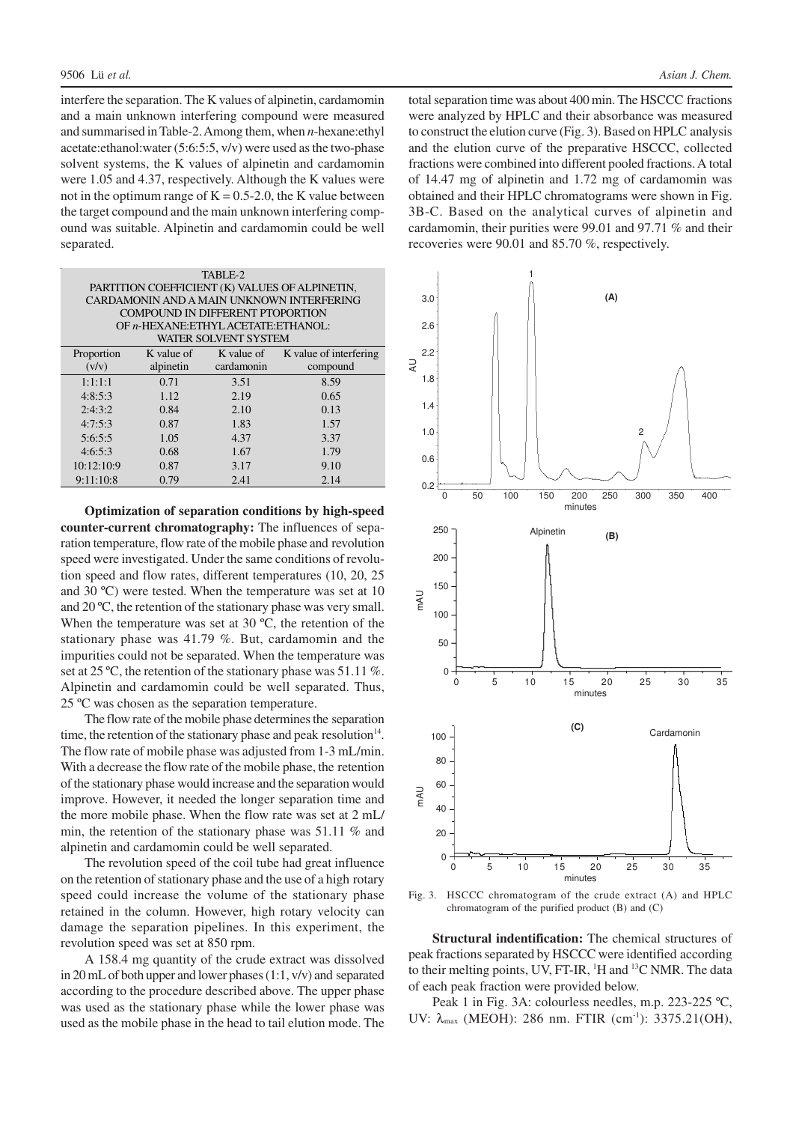interfere the separation. The K values of alpinetin, cardamomin and a main unknown interfering compound were measured and summarised in Table-2. Among them, when *n*-hexane:ethyl acetate:ethanol:water (5:6:5:5, v/v) were used as the two-phase solvent systems, the K values of alpinetin and cardamomin were 1.05 and 4.37, respectively. Although the K values were not in the optimum range of  $K = 0.5$ -2.0, the K value between the target compound and the main unknown interfering compound was suitable. Alpinetin and cardamomin could be well separated.

| TABLE-2<br>PARTITION COEFFICIENT (K) VALUES OF ALPINETIN,<br>CARDAMONIN AND A MAIN UNKNOWN INTERFERING<br>COMPOUND IN DIFFERENT PTOPORTION<br>OF n-HEXANE: ETHYL ACETATE: ETHANOL:<br><b>WATER SOLVENT SYSTEM</b> |                         |            |                                               |  |  |  |  |  |  |
|-------------------------------------------------------------------------------------------------------------------------------------------------------------------------------------------------------------------|-------------------------|------------|-----------------------------------------------|--|--|--|--|--|--|
| Proportion<br>(v/v)                                                                                                                                                                                               | K value of<br>alpinetin | cardamonin | K value of K value of interfering<br>compound |  |  |  |  |  |  |
| 1:1:1:1                                                                                                                                                                                                           | 0.71                    | 3.51       | 8.59                                          |  |  |  |  |  |  |
| 4:8:5:3                                                                                                                                                                                                           | 1.12                    | 2.19       | 0.65                                          |  |  |  |  |  |  |
| 2:4:3:2                                                                                                                                                                                                           | 0.84                    | 2.10       | 0.13                                          |  |  |  |  |  |  |
| 4:7:5:3                                                                                                                                                                                                           | 0.87                    | 1.83       | 1.57                                          |  |  |  |  |  |  |
| 5:6:5:5                                                                                                                                                                                                           | 1.05                    | 4.37       | 3.37                                          |  |  |  |  |  |  |
| 4:6:5:3                                                                                                                                                                                                           | 0.68                    | 1.67       | 1.79                                          |  |  |  |  |  |  |
| 10:12:10:9                                                                                                                                                                                                        | 0.87                    | 3.17       | 9.10                                          |  |  |  |  |  |  |
| 9:11:10:8                                                                                                                                                                                                         | 0.79                    | 2.41       | 2.14                                          |  |  |  |  |  |  |

**Optimization of separation conditions by high-speed counter-current chromatography:** The influences of separation temperature, flow rate of the mobile phase and revolution speed were investigated. Under the same conditions of revolution speed and flow rates, different temperatures (10, 20, 25 and 30 ºC) were tested. When the temperature was set at 10 and 20 ºC, the retention of the stationary phase was very small. When the temperature was set at 30 °C, the retention of the stationary phase was 41.79 %. But, cardamomin and the impurities could not be separated. When the temperature was set at 25 °C, the retention of the stationary phase was 51.11 %. Alpinetin and cardamomin could be well separated. Thus, 25 ºC was chosen as the separation temperature.

The flow rate of the mobile phase determines the separation time, the retention of the stationary phase and peak resolution<sup>14</sup>. The flow rate of mobile phase was adjusted from 1-3 mL/min. With a decrease the flow rate of the mobile phase, the retention of the stationary phase would increase and the separation would improve. However, it needed the longer separation time and the more mobile phase. When the flow rate was set at 2 mL/ min, the retention of the stationary phase was 51.11 % and alpinetin and cardamomin could be well separated.

The revolution speed of the coil tube had great influence on the retention of stationary phase and the use of a high rotary speed could increase the volume of the stationary phase retained in the column. However, high rotary velocity can damage the separation pipelines. In this experiment, the revolution speed was set at 850 rpm.

A 158.4 mg quantity of the crude extract was dissolved in 20 mL of both upper and lower phases (1:1, v/v) and separated according to the procedure described above. The upper phase was used as the stationary phase while the lower phase was used as the mobile phase in the head to tail elution mode. The

total separation time was about 400 min. The HSCCC fractions were analyzed by HPLC and their absorbance was measured to construct the elution curve (Fig. 3). Based on HPLC analysis and the elution curve of the preparative HSCCC, collected fractions were combined into different pooled fractions. A total of 14.47 mg of alpinetin and 1.72 mg of cardamomin was obtained and their HPLC chromatograms were shown in Fig. 3B-C. Based on the analytical curves of alpinetin and cardamomin, their purities were 99.01 and 97.71 % and their recoveries were 90.01 and 85.70 %, respectively.



Fig. 3. HSCCC chromatogram of the crude extract (A) and HPLC chromatogram of the purified product (B) and (C)

**Structural indentification:** The chemical structures of peak fractions separated by HSCCC were identified according to their melting points, UV, FT-IR, <sup>1</sup>H and <sup>13</sup>C NMR. The data of each peak fraction were provided below.

Peak 1 in Fig. 3A: colourless needles, m.p. 223-225 ºC, UV:  $\lambda_{max}$  (MEOH): 286 nm. FTIR (cm<sup>-1</sup>): 3375.21(OH),